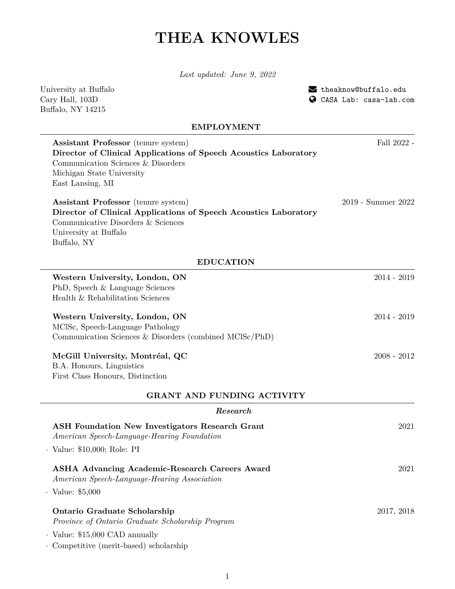# **THEA KNOWLES**

*Last updated: June 9, 2022*

University at Buffalo Cary Hall, 103D Buffalo, NY 14215

[theaknow@buffalo.edu](mailto:theaknow@buffalo.edu) [CASA Lab: casa-lab.com](http://casa-lab.com/)

# **EMPLOYMENT**

| <b>Assistant Professor</b> (tenure system)<br>Director of Clinical Applications of Speech Acoustics Laboratory | Fall 2022 -        |
|----------------------------------------------------------------------------------------------------------------|--------------------|
| Communication Sciences & Disorders                                                                             |                    |
| Michigan State University                                                                                      |                    |
| East Lansing, MI                                                                                               |                    |
| <b>Assistant Professor</b> (tenure system)                                                                     | 2019 - Summer 2022 |
| Director of Clinical Applications of Speech Acoustics Laboratory                                               |                    |
| Communicative Disorders & Sciences<br>University at Buffalo                                                    |                    |
| Buffalo, NY                                                                                                    |                    |
| <b>EDUCATION</b>                                                                                               |                    |
| Western University, London, ON                                                                                 | $2014 - 2019$      |
| PhD, Speech & Language Sciences                                                                                |                    |
| Health & Rehabilitation Sciences                                                                               |                    |
| Western University, London, ON                                                                                 | $2014 - 2019$      |
| MCISc, Speech-Language Pathology                                                                               |                    |
| Communication Sciences & Disorders (combined MCISc/PhD)                                                        |                    |
| McGill University, Montréal, QC                                                                                | $2008 - 2012$      |
| B.A. Honours, Linguistics                                                                                      |                    |
| First Class Honours, Distinction                                                                               |                    |
| <b>GRANT AND FUNDING ACTIVITY</b>                                                                              |                    |
| Research                                                                                                       |                    |
| <b>ASH Foundation New Investigators Research Grant</b><br>American Speech-Language-Hearing Foundation          | 2021               |
| $\cdot$ Value: \$10,000; Role: PI                                                                              |                    |
| <b>ASHA Advancing Academic-Research Careers Award</b><br>American Speech-Language-Hearing Association          | 2021               |
| $\cdot$ Value: \$5,000                                                                                         |                    |
| <b>Ontario Graduate Scholarship</b>                                                                            | 2017, 2018         |
| Province of Ontario Graduate Scholarship Program                                                               |                    |
| $\cdot$ Value: \$15,000 CAD annually                                                                           |                    |
| · Competitive (merit-based) scholarship                                                                        |                    |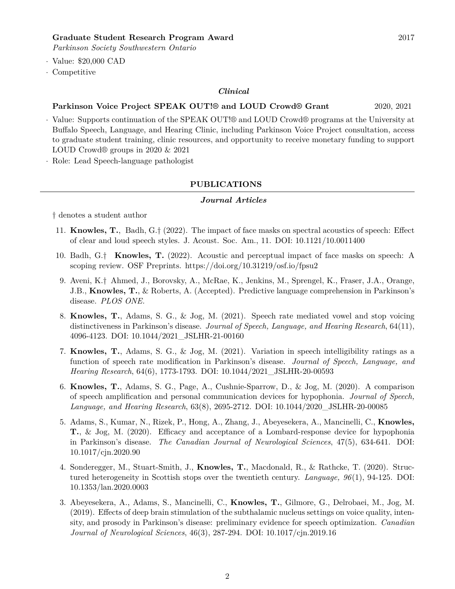*Parkinson Society Southwestern Ontario*

- · Value: \$20,000 CAD
- · Competitive

#### *Clinical*

#### **Parkinson Voice Project SPEAK OUT!® and LOUD Crowd® Grant** 2020, 2021

- · Value: Supports continuation of the SPEAK OUT!® and LOUD Crowd® programs at the University at Buffalo Speech, Language, and Hearing Clinic, including Parkinson Voice Project consultation, access to graduate student training, clinic resources, and opportunity to receive monetary funding to support LOUD Crowd® groups in 2020 & 2021
- · Role: Lead Speech-language pathologist

# **PUBLICATIONS**

#### *Journal Articles*

† denotes a student author

- 11. **Knowles, T.**, Badh, G.† (2022). The impact of face masks on spectral acoustics of speech: Effect of clear and loud speech styles. J. Acoust. Soc. Am., 11. DOI: 10.1121/10.0011400
- 10. Badh, G.† **Knowles, T.** (2022). Acoustic and perceptual impact of face masks on speech: A scoping review. OSF Preprints. https://doi.org/10.31219/osf.io/fpsu2
- 9. Aveni, K.† Ahmed, J., Borovsky, A., McRae, K., Jenkins, M., Sprengel, K., Fraser, J.A., Orange, J.B., **Knowles, T.**, & Roberts, A. (Accepted). Predictive language comprehension in Parkinson's disease. *PLOS ONE.*
- 8. **Knowles, T.**, Adams, S. G., & Jog, M. (2021). Speech rate mediated vowel and stop voicing distinctiveness in Parkinson's disease. *Journal of Speech, Language, and Hearing Research*, 64(11), 4096-4123. DOI: 10.1044/2021\_JSLHR-21-00160
- 7. **Knowles, T.**, Adams, S. G., & Jog, M. (2021). Variation in speech intelligibility ratings as a function of speech rate modification in Parkinson's disease. *Journal of Speech, Language, and Hearing Research*, 64(6), 1773-1793. DOI: 10.1044/2021\_JSLHR-20-00593
- 6. **Knowles, T.**, Adams, S. G., Page, A., Cushnie-Sparrow, D., & Jog, M. (2020). A comparison of speech amplification and personal communication devices for hypophonia. *Journal of Speech, Language, and Hearing Research*, 63(8), 2695-2712. DOI: 10.1044/2020\_JSLHR-20-00085
- 5. Adams, S., Kumar, N., Rizek, P., Hong, A., Zhang, J., Abeyesekera, A., Mancinelli, C., **Knowles, T.**, & Jog, M. (2020). Efficacy and acceptance of a Lombard-response device for hypophonia in Parkinson's disease. *The Canadian Journal of Neurological Sciences*, 47(5), 634-641. DOI: 10.1017/cjn.2020.90
- 4. Sonderegger, M., Stuart-Smith, J., **Knowles, T.**, Macdonald, R., & Rathcke, T. (2020). Structured heterogeneity in Scottish stops over the twentieth century. *Language, 96*(1), 94-125. DOI: 10.1353/lan.2020.0003
- 3. Abeyesekera, A., Adams, S., Mancinelli, C., **Knowles, T.**, Gilmore, G., Delrobaei, M., Jog, M. (2019). Effects of deep brain stimulation of the subthalamic nucleus settings on voice quality, intensity, and prosody in Parkinson's disease: preliminary evidence for speech optimization. *Canadian Journal of Neurological Sciences*, 46(3), 287-294. DOI: 10.1017/cjn.2019.16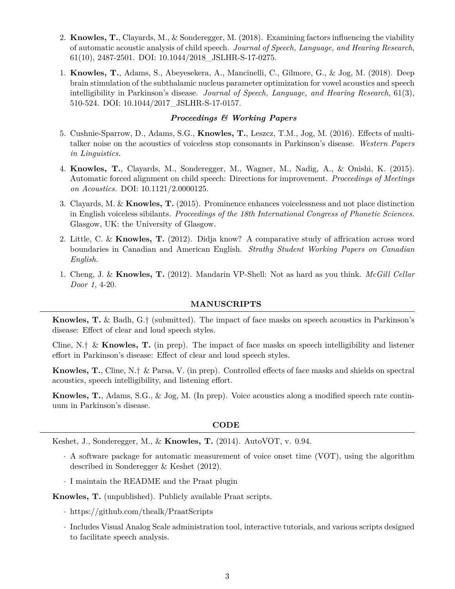- 2. **Knowles, T.**, Clayards, M., & Sonderegger, M. (2018). Examining factors influencing the viability of automatic acoustic analysis of child speech. *Journal of Speech, Language, and Hearing Research*, 61(10), 2487-2501. DOI: 10.1044/2018\_JSLHR-S-17-0275.
- 1. **Knowles, T.**, Adams, S., Abeyesekera, A., Mancinelli, C., Gilmore, G., & Jog, M. (2018). Deep brain stimulation of the subthalamic nucleus parameter optimization for vowel acoustics and speech intelligibility in Parkinson's disease. *Journal of Speech, Language, and Hearing Research*, 61(3), 510-524. DOI: 10.1044/2017\_JSLHR-S-17-0157.

# *Proceedings & Working Papers*

- 5. Cushnie-Sparrow, D., Adams, S.G., **Knowles, T.**, Leszcz, T.M., Jog, M. (2016). Effects of multitalker noise on the acoustics of voiceless stop consonants in Parkinson's disease. *Western Papers in Linguistics.*
- 4. **Knowles, T.**, Clayards, M., Sonderegger, M., Wagner, M., Nadig, A., & Onishi, K. (2015). Automatic forced alignment on child speech: Directions for improvement. *Proceedings of Meetings on Acoustics.* DOI: 10.1121/2.0000125.
- 3. Clayards, M. & **Knowles, T.** (2015). Prominence enhances voicelessness and not place distinction in English voiceless sibilants. *Proceedings of the 18th International Congress of Phonetic Sciences.* Glasgow, UK: the University of Glasgow.
- 2. Little, C. & **Knowles, T.** (2012). Didja know? A comparative study of affrication across word boundaries in Canadian and American English. *Strathy Student Working Papers on Canadian English.*
- 1. Cheng, J. & **Knowles, T.** (2012). Mandarin VP-Shell: Not as hard as you think. *McGill Cellar Door 1*, 4-20.

#### **MANUSCRIPTS**

**Knowles, T.** & Badh, G.† (submitted). The impact of face masks on speech acoustics in Parkinson's disease: Effect of clear and loud speech styles.

Cline, N.† & **Knowles, T.** (in prep). The impact of face masks on speech intelligibility and listener effort in Parkinson's disease: Effect of clear and loud speech styles.

**Knowles, T.**, Cline, N.† & Parsa, V. (in prep). Controlled effects of face masks and shields on spectral acoustics, speech intelligibility, and listening effort.

**Knowles, T.**, Adams, S.G., & Jog, M. (In prep). Voice acoustics along a modified speech rate continuum in Parkinson's disease.

#### **CODE**

Keshet, J., Sonderegger, M., & **Knowles, T.** (2014). AutoVOT, v. 0.94.

- · A software package for automatic measurement of voice onset time (VOT), using the algorithm described in Sonderegger & Keshet (2012).
- · I maintain the README and the Praat plugin

#### **Knowles, T.** (unpublished). Publicly available Praat scripts.

- · <https://github.com/thealk/PraatScripts>
- · Includes Visual Analog Scale administration tool, interactive tutorials, and various scripts designed to facilitate speech analysis.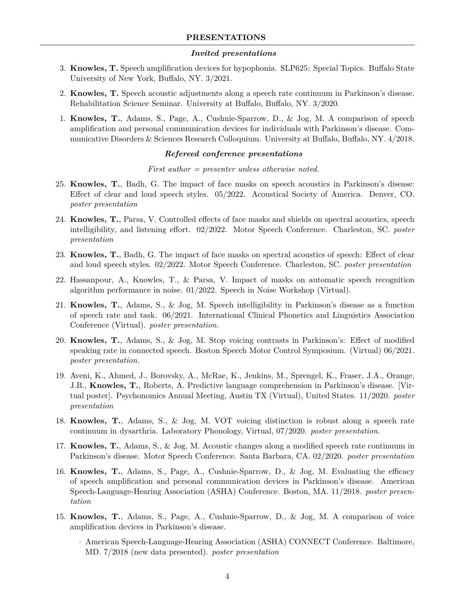# *Invited presentations*

- 3. **Knowles, T.** Speech amplification devices for hypophonia. SLP625: Special Topics. Buffalo State University of New York, Buffalo, NY. 3/2021.
- 2. **Knowles, T.** Speech acoustic adjustments along a speech rate continuum in Parkinson's disease. Rehabilitation Science Seminar. University at Buffalo, Buffalo, NY. 3/2020.
- 1. **Knowles, T.**, Adams, S., Page, A., Cushnie-Sparrow, D., & Jog, M. A comparison of speech amplification and personal communication devices for individuals with Parkinson's disease. Communicative Disorders & Sciences Research Colloquium. University at Buffalo, Buffalo, NY. 4/2018.

# *Refereed conference presentations*

# *First author = presenter unless otherwise noted.*

- 25. **Knowles, T.**, Badh, G. The impact of face masks on speech acoustics in Parkinson's disease: Effect of clear and loud speech styles. 05/2022. Acoustical Society of America. Denver, CO. *poster presentation*
- 24. **Knowles, T.**, Parsa, V. Controlled effects of face masks and shields on spectral acoustics, speech intelligibility, and listening effort. 02/2022. Motor Speech Conference. Charleston, SC. *poster presentation*
- 23. **Knowles, T.**, Badh, G. The impact of face masks on spectral acoustics of speech: Effect of clear and loud speech styles. 02/2022. Motor Speech Conference. Charleston, SC. *poster presentation*
- 22. Hassanpour, A., Knowles, T., & Parsa, V. Impact of masks on automatic speech recognition algorithm performance in noise. 01/2022. Speech in Noise Workshop (Virtual).
- 21. **Knowles, T.**, Adams, S., & Jog, M. Speech intelligibility in Parkinson's disease as a function of speech rate and task. 06/2021. International Clinical Phonetics and Linguistics Association Conference (Virtual). *poster presentation.*
- 20. **Knowles, T.**, Adams, S., & Jog, M. Stop voicing contrasts in Parkinson's: Effect of modified speaking rate in connected speech. Boston Speech Motor Control Symposium. (Virtual) 06/2021. *poster presentation.*
- 19. Aveni, K., Ahmed, J., Borovsky, A., McRae, K., Jenkins, M., Sprengel, K., Fraser, J.A., Orange, J.B., **Knowles, T.**, Roberts, A. Predictive language comprehension in Parkinson's disease. [Virtual poster]. Psychonomics Annual Meeting, Austin TX (Virtual), United States. 11/2020. *poster presentation*
- 18. **Knowles, T.**, Adams, S., & Jog, M. VOT voicing distinction is robust along a speech rate continuum in dysarthria. Laboratory Phonology, Virtual, 07/2020. *poster presentation.*
- 17. **Knowles, T.**, Adams, S., & Jog, M. Acoustic changes along a modified speech rate continuum in Parkinson's disease. Motor Speech Conference. Santa Barbara, CA. 02/2020. *poster presentation*
- 16. **Knowles, T.**, Adams, S., Page, A., Cushnie-Sparrow, D., & Jog, M. Evaluating the efficacy of speech amplification and personal communication devices in Parkinson's disease. American Speech-Language-Hearing Association (ASHA) Conference. Boston, MA. 11/2018. *poster presentation*
- 15. **Knowles, T.**, Adams, S., Page, A., Cushnie-Sparrow, D., & Jog, M. A comparison of voice amplification devices in Parkinson's disease.
	- · American Speech-Language-Hearing Association (ASHA) CONNECT Conference. Baltimore, MD. 7/2018 (new data presented). *poster presentation*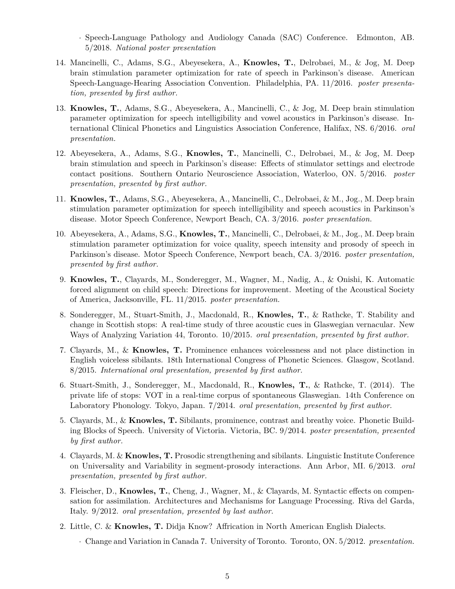· Speech-Language Pathology and Audiology Canada (SAC) Conference. Edmonton, AB. 5/2018. *National poster presentation*

- 14. Mancinelli, C., Adams, S.G., Abeyesekera, A., **Knowles, T.**, Delrobaei, M., & Jog, M. Deep brain stimulation parameter optimization for rate of speech in Parkinson's disease. American Speech-Language-Hearing Association Convention. Philadelphia, PA. 11/2016. *poster presentation, presented by first author.*
- 13. **Knowles, T.**, Adams, S.G., Abeyesekera, A., Mancinelli, C., & Jog, M. Deep brain stimulation parameter optimization for speech intelligibility and vowel acoustics in Parkinson's disease. International Clinical Phonetics and Linguistics Association Conference, Halifax, NS. 6/2016. *oral presentation.*
- 12. Abeyesekera, A., Adams, S.G., **Knowles, T.**, Mancinelli, C., Delrobaei, M., & Jog, M. Deep brain stimulation and speech in Parkinson's disease: Effects of stimulator settings and electrode contact positions. Southern Ontario Neuroscience Association, Waterloo, ON. 5/2016. *poster presentation, presented by first author.*
- 11. **Knowles, T.**, Adams, S.G., Abeyesekera, A., Mancinelli, C., Delrobaei, & M., Jog., M. Deep brain stimulation parameter optimization for speech intelligibility and speech acoustics in Parkinson's disease. Motor Speech Conference, Newport Beach, CA. 3/2016. *poster presentation.*
- 10. Abeyesekera, A., Adams, S.G., **Knowles, T.**, Mancinelli, C., Delrobaei, & M., Jog., M. Deep brain stimulation parameter optimization for voice quality, speech intensity and prosody of speech in Parkinson's disease. Motor Speech Conference, Newport beach, CA. 3/2016. *poster presentation, presented by first author.*
- 9. **Knowles, T.**, Clayards, M., Sonderegger, M., Wagner, M., Nadig, A., & Onishi, K. Automatic forced alignment on child speech: Directions for improvement. Meeting of the Acoustical Society of America, Jacksonville, FL. 11/2015. *poster presentation.*
- 8. Sonderegger, M., Stuart-Smith, J., Macdonald, R., **Knowles, T.**, & Rathcke, T. Stability and change in Scottish stops: A real-time study of three acoustic cues in Glaswegian vernacular. New Ways of Analyzing Variation 44, Toronto. 10/2015. *oral presentation, presented by first author.*
- 7. Clayards, M., & **Knowles, T.** Prominence enhances voicelessness and not place distinction in English voiceless sibilants. 18th International Congress of Phonetic Sciences. Glasgow, Scotland. 8/2015. *International oral presentation, presented by first author.*
- 6. Stuart-Smith, J., Sonderegger, M., Macdonald, R., **Knowles, T.**, & Rathcke, T. (2014). The private life of stops: VOT in a real-time corpus of spontaneous Glaswegian. 14th Conference on Laboratory Phonology. Tokyo, Japan. 7/2014. *oral presentation, presented by first author.*
- 5. Clayards, M., & **Knowles, T.** Sibilants, prominence, contrast and breathy voice. Phonetic Building Blocks of Speech. University of Victoria. Victoria, BC. 9/2014. *poster presentation, presented by first author.*
- 4. Clayards, M. & **Knowles, T.** Prosodic strengthening and sibilants. Linguistic Institute Conference on Universality and Variability in segment-prosody interactions. Ann Arbor, MI. 6/2013. *oral presentation, presented by first author.*
- 3. Fleischer, D., **Knowles, T.**, Cheng, J., Wagner, M., & Clayards, M. Syntactic effects on compensation for assimilation. Architectures and Mechanisms for Language Processing. Riva del Garda, Italy. 9/2012. *oral presentation, presented by last author.*
- 2. Little, C. & **Knowles, T.** Didja Know? Affrication in North American English Dialects.
	- · Change and Variation in Canada 7. University of Toronto. Toronto, ON. 5/2012. *presentation.*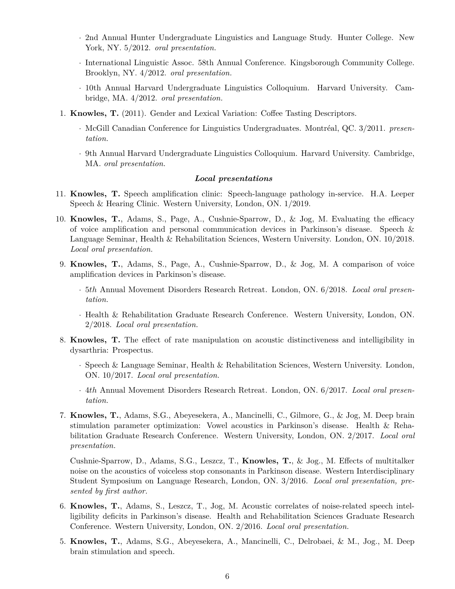- · 2nd Annual Hunter Undergraduate Linguistics and Language Study. Hunter College. New York, NY. 5/2012. *oral presentation.*
- · International Linguistic Assoc. 58th Annual Conference. Kingsborough Community College. Brooklyn, NY. 4/2012. *oral presentation.*
- · 10th Annual Harvard Undergraduate Linguistics Colloquium. Harvard University. Cambridge, MA. 4/2012. *oral presentation.*
- 1. **Knowles, T.** (2011). Gender and Lexical Variation: Coffee Tasting Descriptors.
	- · McGill Canadian Conference for Linguistics Undergraduates. Montréal, QC. 3/2011. *presentation.*
	- · 9th Annual Harvard Undergraduate Linguistics Colloquium. Harvard University. Cambridge, MA. *oral presentation.*

# *Local presentations*

- 11. **Knowles, T.** Speech amplification clinic: Speech-language pathology in-service. H.A. Leeper Speech & Hearing Clinic. Western University, London, ON. 1/2019.
- 10. **Knowles, T.**, Adams, S., Page, A., Cushnie-Sparrow, D., & Jog, M. Evaluating the efficacy of voice amplification and personal communication devices in Parkinson's disease. Speech & Language Seminar, Health & Rehabilitation Sciences, Western University. London, ON. 10/2018. *Local oral presentation.*
- 9. **Knowles, T.**, Adams, S., Page, A., Cushnie-Sparrow, D., & Jog, M. A comparison of voice amplification devices in Parkinson's disease.
	- · 5th Annual Movement Disorders Research Retreat. London, ON. 6/2018. *Local oral presentation.*
	- · Health & Rehabilitation Graduate Research Conference. Western University, London, ON. 2/2018. *Local oral presentation.*
- 8. **Knowles, T.** The effect of rate manipulation on acoustic distinctiveness and intelligibility in dysarthria: Prospectus.
	- · Speech & Language Seminar, Health & Rehabilitation Sciences, Western University. London, ON. 10/2017. *Local oral presentation.*
	- · 4th Annual Movement Disorders Research Retreat. London, ON. 6/2017. *Local oral presentation.*
- 7. **Knowles, T.**, Adams, S.G., Abeyesekera, A., Mancinelli, C., Gilmore, G., & Jog, M. Deep brain stimulation parameter optimization: Vowel acoustics in Parkinson's disease. Health & Rehabilitation Graduate Research Conference. Western University, London, ON. 2/2017. *Local oral presentation.*

Cushnie-Sparrow, D., Adams, S.G., Leszcz, T., **Knowles, T.**, & Jog., M. Effects of multitalker noise on the acoustics of voiceless stop consonants in Parkinson disease. Western Interdisciplinary Student Symposium on Language Research, London, ON. 3/2016. *Local oral presentation, presented by first author.*

- 6. **Knowles, T.**, Adams, S., Leszcz, T., Jog, M. Acoustic correlates of noise-related speech intelligibility deficits in Parkinson's disease. Health and Rehabilitation Sciences Graduate Research Conference. Western University, London, ON. 2/2016. *Local oral presentation.*
- 5. **Knowles, T.**, Adams, S.G., Abeyesekera, A., Mancinelli, C., Delrobaei, & M., Jog., M. Deep brain stimulation and speech.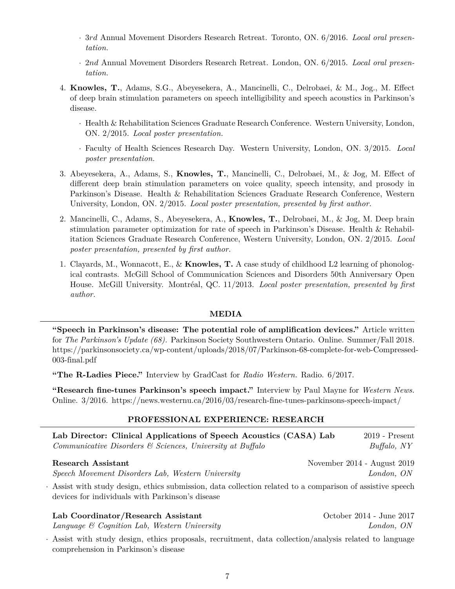- · 3rd Annual Movement Disorders Research Retreat. Toronto, ON. 6/2016. *Local oral presentation.*
- · 2nd Annual Movement Disorders Research Retreat. London, ON. 6/2015. *Local oral presentation.*
- 4. **Knowles, T.**, Adams, S.G., Abeyesekera, A., Mancinelli, C., Delrobaei, & M., Jog., M. Effect of deep brain stimulation parameters on speech intelligibility and speech acoustics in Parkinson's disease.
	- · Health & Rehabilitation Sciences Graduate Research Conference. Western University, London, ON. 2/2015. *Local poster presentation.*
	- · Faculty of Health Sciences Research Day. Western University, London, ON. 3/2015. *Local poster presentation.*
- 3. Abeyesekera, A., Adams, S., **Knowles, T.**, Mancinelli, C., Delrobaei, M., & Jog, M. Effect of different deep brain stimulation parameters on voice quality, speech intensity, and prosody in Parkinson's Disease. Health & Rehabilitation Sciences Graduate Research Conference, Western University, London, ON. 2/2015. *Local poster presentation, presented by first author.*
- 2. Mancinelli, C., Adams, S., Abeyesekera, A., **Knowles, T.**, Delrobaei, M., & Jog, M. Deep brain stimulation parameter optimization for rate of speech in Parkinson's Disease. Health & Rehabilitation Sciences Graduate Research Conference, Western University, London, ON. 2/2015. *Local poster presentation, presented by first author.*
- 1. Clayards, M., Wonnacott, E., & **Knowles, T.** A case study of childhood L2 learning of phonological contrasts. McGill School of Communication Sciences and Disorders 50th Anniversary Open House. McGill University. Montréal, QC. 11/2013. *Local poster presentation, presented by first author.*

# **MEDIA**

**"Speech in Parkinson's disease: The potential role of amplification devices."** Article written for *The Parkinson's Update (68).* Parkinson Society Southwestern Ontario. Online. Summer/Fall 2018. [https://parkinsonsociety.ca/wp-content/uploads/2018/07/Parkinson-68-complete-for-web-Compressed](https://parkinsonsociety.ca/wp-content/uploads/2018/07/Parkinson-68-complete-for-web-Compressed-003-final.pdf)-[003-final.pdf](https://parkinsonsociety.ca/wp-content/uploads/2018/07/Parkinson-68-complete-for-web-Compressed-003-final.pdf)

**"The R-Ladies Piece."** Interview by GradCast for *Radio Western.* Radio. 6/2017.

**"Research fine-tunes Parkinson's speech impact."** Interview by Paul Mayne for *Western News.* Online. 3/2016. <https://news.westernu.ca/2016/03/research-fine-tunes-parkinsons-speech-impact/>

# **PROFESSIONAL EXPERIENCE: RESEARCH**

| Lab Director: Clinical Applications of Speech Acoustics (CASA) Lab           | $2019$ - Present            |
|------------------------------------------------------------------------------|-----------------------------|
| $Communicative\ Disorders\ \mathfrak{S}\ Sciences,\ University\ at\;Buffalo$ | $But \frac{f}{falo}$ , NY   |
| Research Assistant                                                           | November 2014 - August 2019 |

*Speech Movement Disorders Lab, Western University London, ON*

· Assist with study design, ethics submission, data collection related to a comparison of assistive speech devices for individuals with Parkinson's disease

| Lab Coordinator/Research Assistant              | October 2014 - June 2017 |
|-------------------------------------------------|--------------------------|
| Language $\&$ Cognition Lab, Western University | London, ON               |

· Assist with study design, ethics proposals, recruitment, data collection/analysis related to language comprehension in Parkinson's disease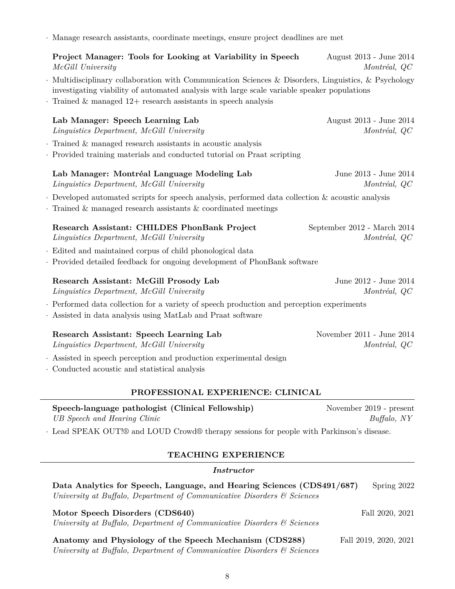8

· Manage research assistants, coordinate meetings, ensure project deadlines are met

**Project Manager: Tools for Looking at Variability in Speech** August 2013 - June 2014 *McGill University Montréal, QC* · Multidisciplinary collaboration with Communication Sciences & Disorders, Linguistics, & Psychology investigating viability of automated analysis with large scale variable speaker populations · Trained & managed 12+ research assistants in speech analysis **Lab Manager: Speech Learning Lab** August 2013 - June 2014 *Linguistics Department, McGill University Montréal, QC* · Trained & managed research assistants in acoustic analysis · Provided training materials and conducted tutorial on Praat scripting **Lab Manager: Montréal Language Modeling Lab** June 2013 - June 2014 *Linguistics Department, McGill University Montréal, QC* · Developed automated scripts for speech analysis, performed data collection & acoustic analysis · Trained & managed research assistants & coordinated meetings **Research Assistant: CHILDES PhonBank Project** September 2012 - March 2014 *Linguistics Department, McGill University Montréal, QC* · Edited and maintained corpus of child phonological data · Provided detailed feedback for ongoing development of PhonBank software **Research Assistant: McGill Prosody Lab** June 2012 - June 2014 *Linguistics Department, McGill University Montréal, QC* · Performed data collection for a variety of speech production and perception experiments · Assisted in data analysis using MatLab and Praat software **Research Assistant: Speech Learning Lab** November 2011 - June 2014

· Assisted in speech perception and production experimental design

· Conducted acoustic and statistical analysis

# **PROFESSIONAL EXPERIENCE: CLINICAL**

*Linguistics Department, McGill University* Montréal, QC

# **Speech-language pathologist (Clinical Fellowship)** November 2019 - present *UB Speech and Hearing Clinic Buffalo, NY*

· Lead SPEAK OUT!® and LOUD Crowd® therapy sessions for people with Parkinson's disease.

# **TEACHING EXPERIENCE**

# *Instructor*

| Data Analytics for Speech, Language, and Hearing Sciences (CDS491/687) Spring 2022  |  |
|-------------------------------------------------------------------------------------|--|
| University at Buffalo, Department of Communicative Disorders $\mathcal{C}$ Sciences |  |

**Motor Speech Disorders (CDS640)** Fall 2020, 2021 *University at Buffalo, Department of Communicative Disorders & Sciences*

**Anatomy and Physiology of the Speech Mechanism (CDS288)** Fall 2019, 2020, 2021 *University at Buffalo, Department of Communicative Disorders & Sciences*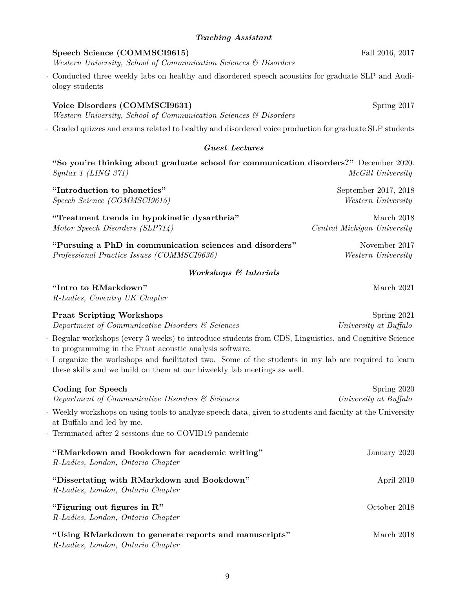# *Teaching Assistant*

# **Speech Science (COMMSCI9615)** Fall 2016, 2017

*Western University, School of Communication Sciences & Disorders*

· Conducted three weekly labs on healthy and disordered speech acoustics for graduate SLP and Audiology students

# **Voice Disorders (COMMSCI9631)** Spring 2017

*Western University, School of Communication Sciences & Disorders*

· Graded quizzes and exams related to healthy and disordered voice production for graduate SLP students

# *Guest Lectures*

**"So you're thinking about graduate school for communication disorders?"** December 2020. *Syntax 1 (LING 371) McGill University*

**"Introduction to phonetics"** September 2017, 2018 *Speech Science (COMMSCI9615) Western University*

**"Treatment trends in hypokinetic dysarthria"** March 2018 *Motor Speech Disorders (SLP714) Central Michigan University*

**"Pursuing a PhD in communication sciences and disorders"** November 2017 *Professional Practice Issues (COMMSCI9636) Western University*

# *Workshops & tutorials*

**"Intro to RMarkdown"** March 2021

*R-Ladies, Coventry UK Chapter*

|                                                         |  | Regular workshops (every 3 weeks) to introduce students from CDS, Linguistics, and Cognitive Science |  |  |  |
|---------------------------------------------------------|--|------------------------------------------------------------------------------------------------------|--|--|--|
| to programming in the Praat acoustic analysis software. |  |                                                                                                      |  |  |  |

**Praat Scripting Workshops** Spring 2021 *Department of Communicative Disorders & Sciences University at Buffalo*

· I organize the workshops and facilitated two. Some of the students in my lab are required to learn these skills and we build on them at our biweekly lab meetings as well.

| Coding for Speech<br>Department of Communicative Disorders & Sciences                                                                | Spring 2020<br>University at Buffalo |
|--------------------------------------------------------------------------------------------------------------------------------------|--------------------------------------|
| Weekly workshops on using tools to analyze speech data, given to students and faculty at the University<br>at Buffalo and led by me. |                                      |
| Examinated after 2 sessions due to COVID19 pandemic                                                                                  |                                      |
| "RMarkdown and Bookdown for academic writing"<br>R-Ladies, London, Ontario Chapter                                                   | January 2020                         |
| "Dissertating with RMarkdown and Bookdown"<br>R-Ladies, London, Ontario Chapter                                                      | April 2019                           |
| "Figuring out figures in $\mathbb{R}$ "<br>R-Ladies, London, Ontario Chapter                                                         | October 2018                         |
| "Using RMarkdown to generate reports and manuscripts"<br>R-Ladies, London, Ontario Chapter                                           | March 2018                           |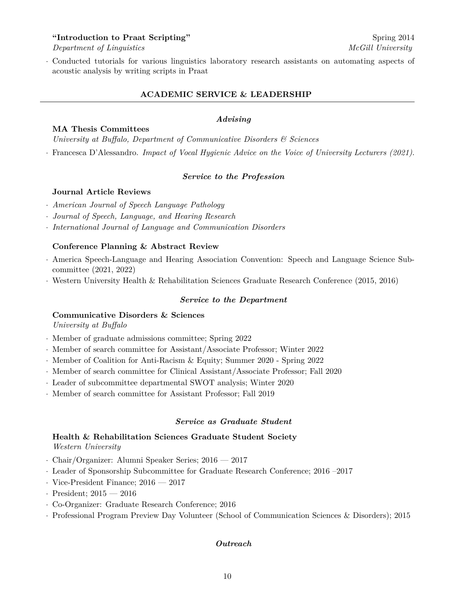# **"Introduction to Praat Scripting"** Spring 2014

*Department of Linguistics McGill University*

· Conducted tutorials for various linguistics laboratory research assistants on automating aspects of acoustic analysis by writing scripts in Praat

# **ACADEMIC SERVICE & LEADERSHIP**

#### *Advising*

#### **MA Thesis Committees**

*University at Buffalo, Department of Communicative Disorders & Sciences*

· Francesca D'Alessandro. *Impact of Vocal Hygienic Advice on the Voice of University Lecturers (2021)*.

#### *Service to the Profession*

# **Journal Article Reviews**

- · *American Journal of Speech Language Pathology*
- · *Journal of Speech, Language, and Hearing Research*
- · *International Journal of Language and Communication Disorders*

#### **Conference Planning & Abstract Review**

- · America Speech-Language and Hearing Association Convention: Speech and Language Science Subcommittee (2021, 2022)
- · Western University Health & Rehabilitation Sciences Graduate Research Conference (2015, 2016)

#### *Service to the Department*

# **Communicative Disorders & Sciences**

*University at Buffalo*

- · Member of graduate admissions committee; Spring 2022
- · Member of search committee for Assistant/Associate Professor; Winter 2022
- · Member of Coalition for Anti-Racism & Equity; Summer 2020 Spring 2022
- · Member of search committee for Clinical Assistant/Associate Professor; Fall 2020
- · Leader of subcommittee departmental SWOT analysis; Winter 2020
- · Member of search committee for Assistant Professor; Fall 2019

#### *Service as Graduate Student*

# **Health & Rehabilitation Sciences Graduate Student Society**

*Western University*

- · Chair/Organizer: Alumni Speaker Series; 2016 2017
- · Leader of Sponsorship Subcommittee for Graduate Research Conference; 2016 –2017
- · Vice-President Finance; 2016 2017
- · President; 2015 2016
- · Co-Organizer: Graduate Research Conference; 2016
- · Professional Program Preview Day Volunteer (School of Communication Sciences & Disorders); 2015

#### *Outreach*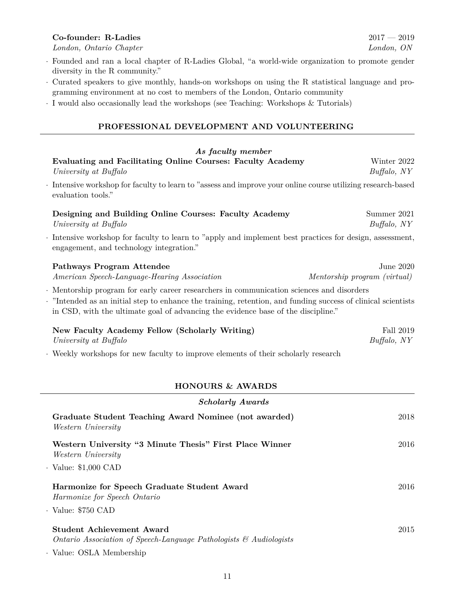# **Co-founder: R-Ladies** 2017 — 2019

*London, Ontario Chapter London, ON*

- · Founded and ran a local chapter of R-Ladies Global, "a world-wide organization to promote gender diversity in the R community."
- · Curated speakers to give monthly, hands-on workshops on using the R statistical language and programming environment at no cost to members of the London, Ontario community
- · I would also occasionally lead the workshops (see Teaching: Workshops & Tutorials)

# **PROFESSIONAL DEVELOPMENT AND VOLUNTEERING**

| As faculty member                                                                                                                                                                                                                                                                             |                                           |
|-----------------------------------------------------------------------------------------------------------------------------------------------------------------------------------------------------------------------------------------------------------------------------------------------|-------------------------------------------|
| Evaluating and Facilitating Online Courses: Faculty Academy<br>University at Buffalo                                                                                                                                                                                                          | Winter 2022<br>Buffalo, NY                |
| Intensive workshop for faculty to learn to "assess and improve your online course utilizing research-based<br>evaluation tools."                                                                                                                                                              |                                           |
| Designing and Building Online Courses: Faculty Academy<br>University at Buffalo                                                                                                                                                                                                               | Summer 2021<br>Buffalo, NY                |
| Intensive workshop for faculty to learn to "apply and implement best practices for design, assessment,<br>engagement, and technology integration."                                                                                                                                            |                                           |
| Pathways Program Attendee<br>American Speech-Language-Hearing Association                                                                                                                                                                                                                     | June 2020<br>Mentorship program (virtual) |
| · Mentorship program for early career researchers in communication sciences and disorders<br>"Intended as an initial step to enhance the training, retention, and funding success of clinical scientists<br>in CSD, with the ultimate goal of advancing the evidence base of the discipline." |                                           |
| New Faculty Academy Fellow (Scholarly Writing)<br>University at Buffalo                                                                                                                                                                                                                       | Fall 2019<br>Buffalo, NY                  |
| Weekly workshops for new faculty to improve elements of their scholarly research                                                                                                                                                                                                              |                                           |
| <b>HONOURS &amp; AWARDS</b>                                                                                                                                                                                                                                                                   |                                           |
| <b>Scholarly Awards</b>                                                                                                                                                                                                                                                                       |                                           |
| Graduate Student Teaching Award Nominee (not awarded)<br>Western University                                                                                                                                                                                                                   | 2018                                      |
| Western University "3 Minute Thesis" First Place Winner<br>Western University                                                                                                                                                                                                                 | 2016                                      |
| $\cdot$ Value: \$1,000 CAD                                                                                                                                                                                                                                                                    |                                           |
| Harmonize for Speech Graduate Student Award<br>Harmonize for Speech Ontario                                                                                                                                                                                                                   | 2016                                      |
| $\cdot$ Value: $\$750$ CAD                                                                                                                                                                                                                                                                    |                                           |
| <b>Student Achievement Award</b>                                                                                                                                                                                                                                                              | 2015                                      |

*Ontario Association of Speech-Language Pathologists & Audiologists*

· Value: OSLA Membership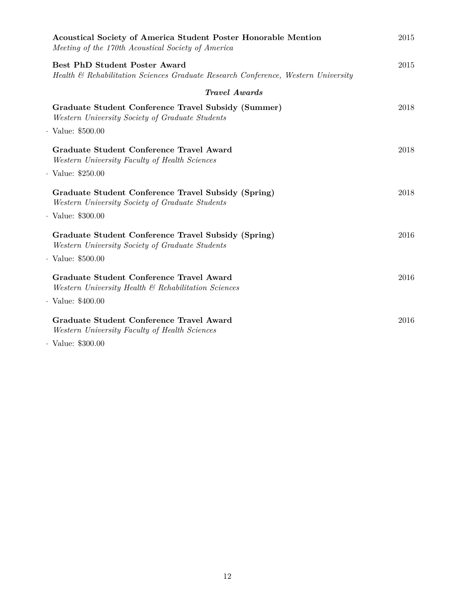| <b>Acoustical Society of America Student Poster Honorable Mention</b><br>Meeting of the 170th Acoustical Society of America | 2015 |
|-----------------------------------------------------------------------------------------------------------------------------|------|
| <b>Best PhD Student Poster Award</b><br>Health & Rehabilitation Sciences Graduate Research Conference, Western University   | 2015 |
| <b>Travel Awards</b>                                                                                                        |      |
| Graduate Student Conference Travel Subsidy (Summer)<br>Western University Society of Graduate Students                      | 2018 |
| $\cdot$ Value: \$500.00                                                                                                     |      |
| Graduate Student Conference Travel Award<br>Western University Faculty of Health Sciences                                   | 2018 |
| $\cdot$ Value: \$250.00                                                                                                     |      |
| Graduate Student Conference Travel Subsidy (Spring)<br>Western University Society of Graduate Students                      | 2018 |
| $\cdot$ Value: \$300.00                                                                                                     |      |
| Graduate Student Conference Travel Subsidy (Spring)<br>Western University Society of Graduate Students                      | 2016 |
| $\cdot$ Value: $\$500.00$                                                                                                   |      |
| Graduate Student Conference Travel Award<br>Western University Health & Rehabilitation Sciences                             | 2016 |
| $\cdot$ Value: \$400.00                                                                                                     |      |
| Graduate Student Conference Travel Award<br>Western University Faculty of Health Sciences                                   | 2016 |
| $A - A - A$                                                                                                                 |      |

· Value: \$300.00